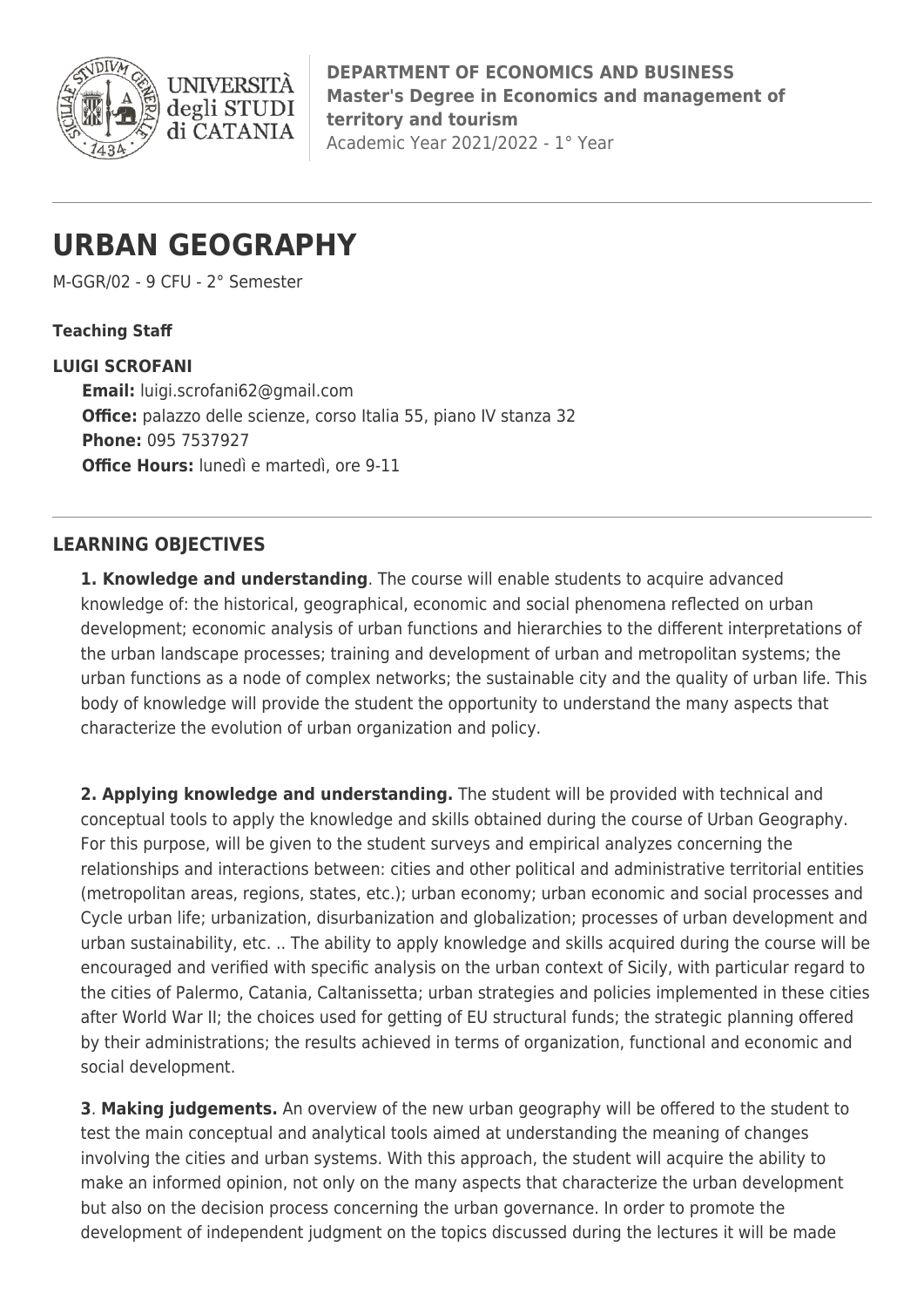

**DEPARTMENT OF ECONOMICS AND BUSINESS Master's Degree in Economics and management of territory and tourism** Academic Year 2021/2022 - 1° Year

# **URBAN GEOGRAPHY**

M-GGR/02 - 9 CFU - 2° Semester

#### **Teaching Staff**

#### **LUIGI SCROFANI**

**Email:** [luigi.scrofani62@gmail.com](mailto:luigi.scrofani62@gmail.com) **Office:** palazzo delle scienze, corso Italia 55, piano IV stanza 32 **Phone:** 095 7537927 **Office Hours:** lunedì e martedì, ore 9-11

# **LEARNING OBJECTIVES**

**1. Knowledge and understanding**. The course will enable students to acquire advanced knowledge of: the historical, geographical, economic and social phenomena reflected on urban development; economic analysis of urban functions and hierarchies to the different interpretations of the urban landscape processes; training and development of urban and metropolitan systems; the urban functions as a node of complex networks; the sustainable city and the quality of urban life. This body of knowledge will provide the student the opportunity to understand the many aspects that characterize the evolution of urban organization and policy.

**2. Applying knowledge and understanding.** The student will be provided with technical and conceptual tools to apply the knowledge and skills obtained during the course of Urban Geography. For this purpose, will be given to the student surveys and empirical analyzes concerning the relationships and interactions between: cities and other political and administrative territorial entities (metropolitan areas, regions, states, etc.); urban economy; urban economic and social processes and Cycle urban life; urbanization, disurbanization and globalization; processes of urban development and urban sustainability, etc. .. The ability to apply knowledge and skills acquired during the course will be encouraged and verified with specific analysis on the urban context of Sicily, with particular regard to the cities of Palermo, Catania, Caltanissetta; urban strategies and policies implemented in these cities after World War II; the choices used for getting of EU structural funds; the strategic planning offered by their administrations; the results achieved in terms of organization, functional and economic and social development.

**3**. **Making judgements.** An overview of the new urban geography will be offered to the student to test the main conceptual and analytical tools aimed at understanding the meaning of changes involving the cities and urban systems. With this approach, the student will acquire the ability to make an informed opinion, not only on the many aspects that characterize the urban development but also on the decision process concerning the urban governance. In order to promote the development of independent judgment on the topics discussed during the lectures it will be made